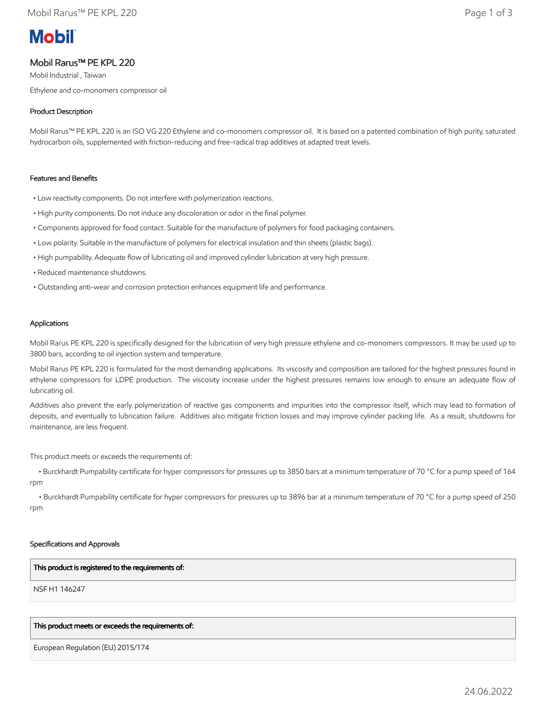# **Mobil**

## Mobil Rarus™ PE KPL 220

Mobil Industrial , Taiwan Ethylene and co-monomers compressor oil

### Product Description

Mobil Rarus™ PE KPL 220 is an ISO VG 220 Ethylene and co-monomers compressor oil. It is based on a patented combination of high purity, saturated hydrocarbon oils, supplemented with friction-reducing and free-radical trap additives at adapted treat levels.

#### Features and Benefits

- Low reactivity components. Do not interfere with polymerization reactions.
- High purity components. Do not induce any discoloration or odor in the final polymer.
- Components approved for food contact. Suitable for the manufacture of polymers for food packaging containers.
- Low polarity. Suitable in the manufacture of polymers for electrical insulation and thin sheets (plastic bags).
- High pumpability. Adequate flow of lubricating oil and improved cylinder lubrication at very high pressure.
- Reduced maintenance shutdowns.
- Outstanding anti-wear and corrosion protection enhances equipment life and performance.

#### Applications

Mobil Rarus PE KPL 220 is specifically designed for the lubrication of very high pressure ethylene and co-monomers compressors. It may be used up to 3800 bars, according to oil injection system and temperature.

Mobil Rarus PE KPL 220 is formulated for the most demanding applications. Its viscosity and composition are tailored for the highest pressures found in ethylene compressors for LDPE production. The viscosity increase under the highest pressures remains low enough to ensure an adequate flow of lubricating oil.

Additives also prevent the early polymerization of reactive gas components and impurities into the compressor itself, which may lead to formation of deposits, and eventually to lubrication failure. Additives also mitigate friction losses and may improve cylinder packing life. As a result, shutdowns for maintenance, are less frequent.

This product meets or exceeds the requirements of:

 • Burckhardt Pumpability certificate for hyper compressors for pressures up to 3850 bars at a minimum temperature of 70 °C for a pump speed of 164 rpm

 • Burckhardt Pumpability certificate for hyper compressors for pressures up to 3896 bar at a minimum temperature of 70 °C for a pump speed of 250 rpm

#### Specifications and Approvals

#### This product is registered to the requirements of:

NSF H1 146247

#### This product meets or exceeds the requirements of:

European Regulation (EU) 2015/174